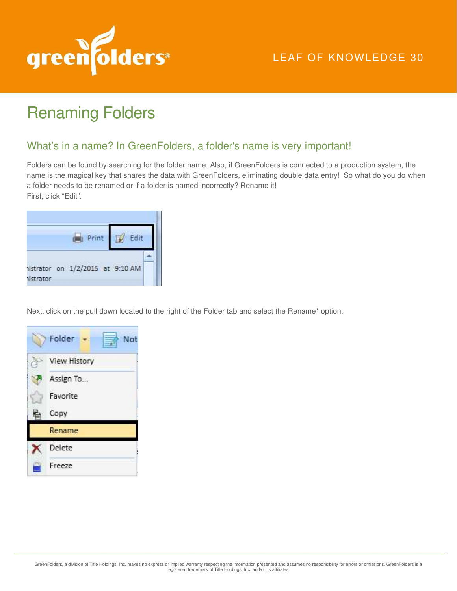

## LEAF OF KNOWLEDGE 30

## Renaming Folders

## What's in a name? In GreenFolders, a folder's name is very important!

Folders can be found by searching for the folder name. Also, if GreenFolders is connected to a production system, the name is the magical key that shares the data with GreenFolders, eliminating double data entry! So what do you do when a folder needs to be renamed or if a folder is named incorrectly? Rename it! First, click "Edit".

| Print                                                |  |
|------------------------------------------------------|--|
| vistrator on 1/2/2015 at 9:10 AM<br><b>Nistrator</b> |  |

Next, click on the pull down located to the right of the Folder tab and select the Rename\* option.